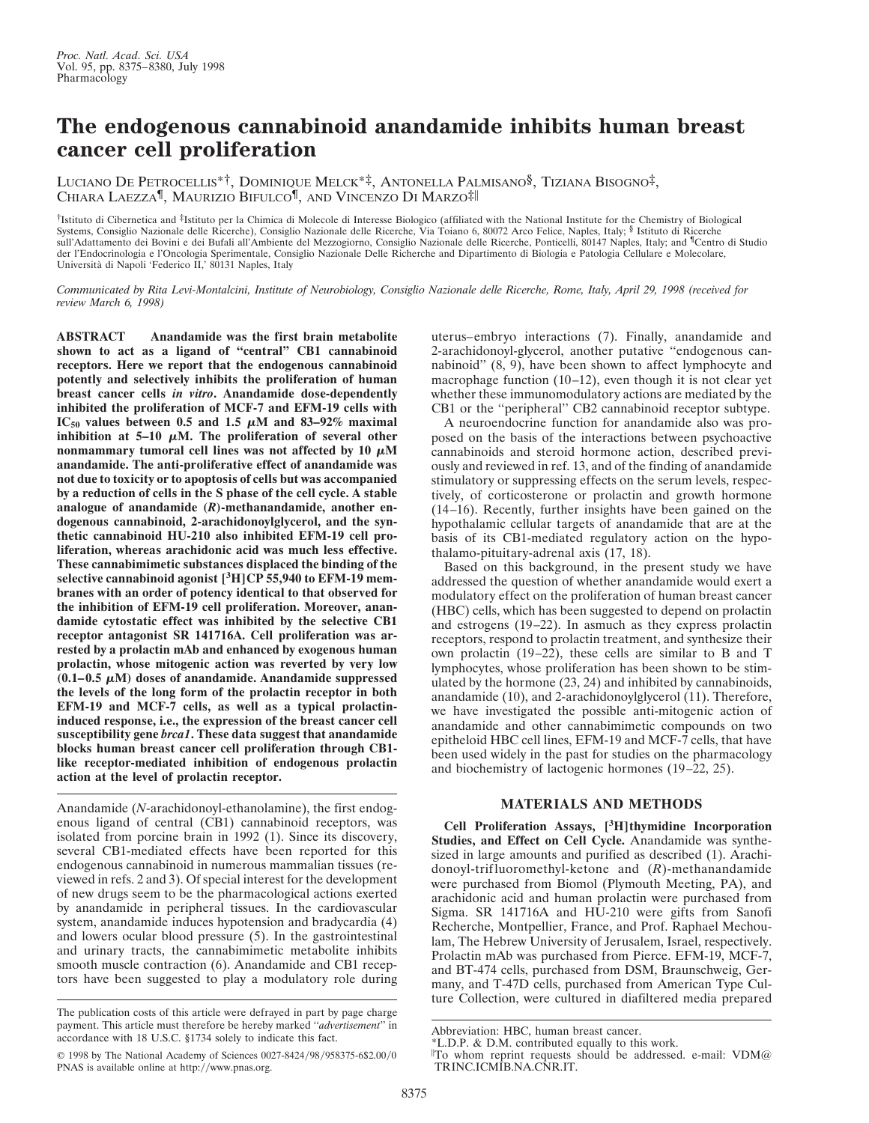## **The endogenous cannabinoid anandamide inhibits human breast cancer cell proliferation**

LUCIANO D<sup>E</sup> PETROCELLIS\*†, DOMINIQUE MELCK\*‡, ANTONELLA PALMISANO§, TIZIANA BISOGNO‡, CHIARA LAEZZA¶, MAURIZIO BIFULCO¶, AND VINCENZO D<sup>I</sup> MARZO‡i

†Istituto di Cibernetica and ‡Istituto per la Chimica di Molecole di Interesse Biologico (affiliated with the National Institute for the Chemistry of Biological Systems, Consiglio Nazionale delle Ricerche), Consiglio Nazionale delle Ricerche, Via Toiano 6, 80072 Arco Felice, Naples, Italy; § Istituto di Ricerche sull'Adattamento dei Bovini e dei Bufali all'Ambiente del Mezzogiorno, Consiglio Nazionale delle Ricerche, Ponticelli, 80147 Naples, Italy; and <sup>¶</sup>Centro di Studio der l'Endocrinologia e l'Oncologia Sperimentale, Consiglio Nazionale Delle Richerche and Dipartimento di Biologia e Patologia Cellulare e Molecolare, Università di Napoli 'Federico II,' 80131 Naples, Italy

*Communicated by Rita Levi-Montalcini, Institute of Neurobiology, Consiglio Nazionale delle Ricerche, Rome, Italy, April 29, 1998 (received for review March 6, 1998)*

**ABSTRACT Anandamide was the first brain metabolite shown to act as a ligand of ''central'' CB1 cannabinoid receptors. Here we report that the endogenous cannabinoid potently and selectively inhibits the proliferation of human breast cancer cells** *in vitro***. Anandamide dose-dependently inhibited the proliferation of MCF-7 and EFM-19 cells with IC**<sub>50</sub> values between 0.5 and 1.5  $\mu$ M and 83–92% maximal inhibition at  $5-10 \mu M$ . The proliferation of several other nonmammary tumoral cell lines was not affected by  $10 \mu M$ **anandamide. The anti-proliferative effect of anandamide was not due to toxicity or to apoptosis of cells but was accompanied by a reduction of cells in the S phase of the cell cycle. A stable analogue of anandamide (***R***)-methanandamide, another endogenous cannabinoid, 2-arachidonoylglycerol, and the synthetic cannabinoid HU-210 also inhibited EFM-19 cell proliferation, whereas arachidonic acid was much less effective. These cannabimimetic substances displaced the binding of the selective cannabinoid agonist [3H]CP 55,940 to EFM-19 membranes with an order of potency identical to that observed for the inhibition of EFM-19 cell proliferation. Moreover, anandamide cytostatic effect was inhibited by the selective CB1 receptor antagonist SR 141716A. Cell proliferation was arrested by a prolactin mAb and enhanced by exogenous human prolactin, whose mitogenic action was reverted by very low**  $(0.1-0.5 \mu M)$  doses of anandamide. Anandamide suppressed **the levels of the long form of the prolactin receptor in both EFM-19 and MCF-7 cells, as well as a typical prolactininduced response, i.e., the expression of the breast cancer cell susceptibility gene** *brca1***. These data suggest that anandamide blocks human breast cancer cell proliferation through CB1 like receptor-mediated inhibition of endogenous prolactin action at the level of prolactin receptor.**

Anandamide (*N*-arachidonoyl-ethanolamine), the first endogenous ligand of central (CB1) cannabinoid receptors, was isolated from porcine brain in 1992 (1). Since its discovery, several CB1-mediated effects have been reported for this endogenous cannabinoid in numerous mammalian tissues (reviewed in refs. 2 and 3). Of special interest for the development of new drugs seem to be the pharmacological actions exerted by anandamide in peripheral tissues. In the cardiovascular system, anandamide induces hypotension and bradycardia (4) and lowers ocular blood pressure (5). In the gastrointestinal and urinary tracts, the cannabimimetic metabolite inhibits smooth muscle contraction (6). Anandamide and CB1 receptors have been suggested to play a modulatory role during

uterus–embryo interactions (7). Finally, anandamide and 2-arachidonoyl-glycerol, another putative ''endogenous cannabinoid'' (8, 9), have been shown to affect lymphocyte and macrophage function (10–12), even though it is not clear yet whether these immunomodulatory actions are mediated by the CB1 or the ''peripheral'' CB2 cannabinoid receptor subtype.

A neuroendocrine function for anandamide also was proposed on the basis of the interactions between psychoactive cannabinoids and steroid hormone action, described previously and reviewed in ref. 13, and of the finding of anandamide stimulatory or suppressing effects on the serum levels, respectively, of corticosterone or prolactin and growth hormone (14–16). Recently, further insights have been gained on the hypothalamic cellular targets of anandamide that are at the basis of its CB1-mediated regulatory action on the hypothalamo-pituitary-adrenal axis (17, 18).

Based on this background, in the present study we have addressed the question of whether anandamide would exert a modulatory effect on the proliferation of human breast cancer (HBC) cells, which has been suggested to depend on prolactin and estrogens (19–22). In asmuch as they express prolactin receptors, respond to prolactin treatment, and synthesize their own prolactin (19–22), these cells are similar to B and T lymphocytes, whose proliferation has been shown to be stimulated by the hormone (23, 24) and inhibited by cannabinoids, anandamide (10), and 2-arachidonoylglycerol (11). Therefore, we have investigated the possible anti-mitogenic action of anandamide and other cannabimimetic compounds on two epitheloid HBC cell lines, EFM-19 and MCF-7 cells, that have been used widely in the past for studies on the pharmacology and biochemistry of lactogenic hormones (19–22, 25).

## **MATERIALS AND METHODS**

**Cell Proliferation Assays, [3H]thymidine Incorporation Studies, and Effect on Cell Cycle.** Anandamide was synthesized in large amounts and purified as described (1). Arachidonoyl-trifluoromethyl-ketone and (*R*)-methanandamide were purchased from Biomol (Plymouth Meeting, PA), and arachidonic acid and human prolactin were purchased from Sigma. SR 141716A and HU-210 were gifts from Sanofi Recherche, Montpellier, France, and Prof. Raphael Mechoulam, The Hebrew University of Jerusalem, Israel, respectively. Prolactin mAb was purchased from Pierce. EFM-19, MCF-7, and BT-474 cells, purchased from DSM, Braunschweig, Germany, and T-47D cells, purchased from American Type Culture Collection, were cultured in diafiltered media prepared

The publication costs of this article were defrayed in part by page charge payment. This article must therefore be hereby marked ''*advertisement*'' in accordance with 18 U.S.C. §1734 solely to indicate this fact.

<sup>© 1998</sup> by The National Academy of Sciences 0027-8424/98/958375-6\$2.00/0 PNAS is available online at http://www.pnas.org.

Abbreviation: HBC, human breast cancer.

<sup>\*</sup>L.D.P. & D.M. contributed equally to this work.

 $\mathbb{I}$ To whom reprint requests should be addressed. e-mail: VDM@ TRINC.ICMIB.NA.CNR.IT.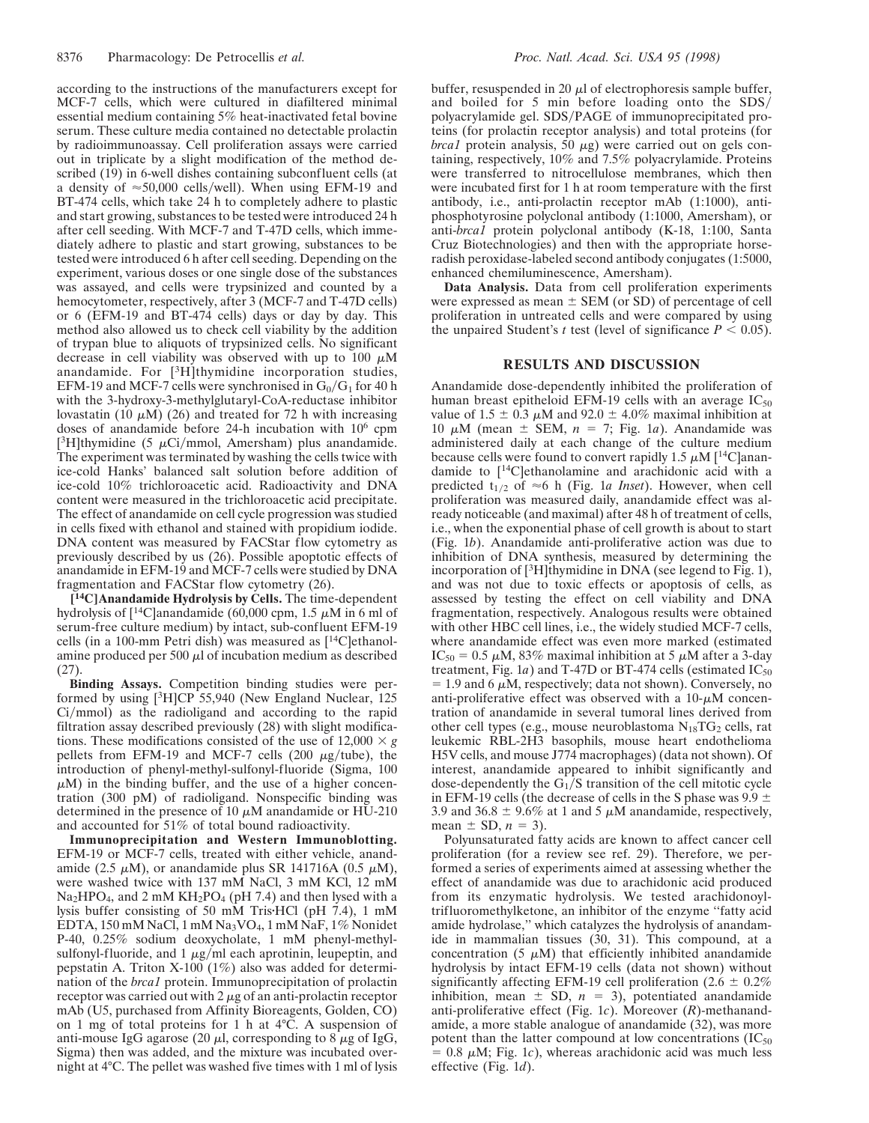according to the instructions of the manufacturers except for MCF-7 cells, which were cultured in diafiltered minimal essential medium containing 5% heat-inactivated fetal bovine serum. These culture media contained no detectable prolactin by radioimmunoassay. Cell proliferation assays were carried out in triplicate by a slight modification of the method described (19) in 6-well dishes containing subconfluent cells (at a density of  $\approx$  50,000 cells/well). When using EFM-19 and BT-474 cells, which take 24 h to completely adhere to plastic and start growing, substances to be tested were introduced 24 h after cell seeding. With MCF-7 and T-47D cells, which immediately adhere to plastic and start growing, substances to be tested were introduced 6 h after cell seeding. Depending on the experiment, various doses or one single dose of the substances was assayed, and cells were trypsinized and counted by a hemocytometer, respectively, after 3 (MCF-7 and T-47D cells) or 6 (EFM-19 and BT-474 cells) days or day by day. This method also allowed us to check cell viability by the addition of trypan blue to aliquots of trypsinized cells. No significant decrease in cell viability was observed with up to 100  $\mu$ M anandamide. For [3H]thymidine incorporation studies, EFM-19 and MCF-7 cells were synchronised in  $G_0/G_1$  for 40 h with the 3-hydroxy-3-methylglutaryl-CoA-reductase inhibitor lovastatin (10  $\mu$ M) (26) and treated for 72 h with increasing doses of anandamide before 24-h incubation with 10<sup>6</sup> cpm [ ${}^{3}$ H]thymidine (5  $\mu$ Ci/mmol, Amersham) plus anandamide. The experiment was terminated by washing the cells twice with ice-cold Hanks' balanced salt solution before addition of ice-cold 10% trichloroacetic acid. Radioactivity and DNA content were measured in the trichloroacetic acid precipitate. The effect of anandamide on cell cycle progression was studied in cells fixed with ethanol and stained with propidium iodide. DNA content was measured by FACStar flow cytometry as previously described by us (26). Possible apoptotic effects of anandamide in EFM-19 and MCF-7 cells were studied by DNA fragmentation and FACStar flow cytometry (26).

**[ <sup>14</sup>C]Anandamide Hydrolysis by Cells.** The time-dependent hydrolysis of  $\lceil$ <sup>14</sup>C]anandamide (60,000 cpm, 1.5  $\mu$ M in 6 ml of serum-free culture medium) by intact, sub-confluent EFM-19 cells (in a 100-mm Petri dish) was measured as [14C]ethanolamine produced per 500  $\mu$ l of incubation medium as described (27).

**Binding Assays.** Competition binding studies were performed by using [3H]CP 55,940 (New England Nuclear, 125  $Ci/mmol$  as the radioligand and according to the rapid filtration assay described previously (28) with slight modifications. These modifications consisted of the use of  $12,000 \times g$ pellets from EFM-19 and MCF-7 cells  $(200 \mu g/tube)$ , the introduction of phenyl-methyl-sulfonyl-fluoride (Sigma, 100  $\mu$ M) in the binding buffer, and the use of a higher concentration (300 pM) of radioligand. Nonspecific binding was determined in the presence of 10  $\mu$ M anandamide or HU-210 and accounted for 51% of total bound radioactivity.

**Immunoprecipitation and Western Immunoblotting.** EFM-19 or MCF-7 cells, treated with either vehicle, anandamide (2.5  $\mu$ M), or anandamide plus SR 141716A (0.5  $\mu$ M), were washed twice with 137 mM NaCl, 3 mM KCl, 12 mM Na<sub>2</sub>HPO<sub>4</sub>, and 2 mM KH<sub>2</sub>PO<sub>4</sub> (pH 7.4) and then lysed with a lysis buffer consisting of 50 mM Tris HCl (pH  $7.4$ ), 1 mM EDTA, 150 mM NaCl, 1 mM Na3VO4, 1 mM NaF, 1% Nonidet P-40, 0.25% sodium deoxycholate, 1 mM phenyl-methylsulfonyl-fluoride, and 1  $\mu$ g/ml each aprotinin, leupeptin, and pepstatin A. Triton X-100 (1%) also was added for determination of the *brca1* protein. Immunoprecipitation of prolactin receptor was carried out with  $2 \mu$ g of an anti-prolactin receptor mAb (U5, purchased from Affinity Bioreagents, Golden, CO) on 1 mg of total proteins for 1 h at 4°C. A suspension of anti-mouse IgG agarose (20  $\mu$ l, corresponding to 8  $\mu$ g of IgG, Sigma) then was added, and the mixture was incubated overnight at 4°C. The pellet was washed five times with 1 ml of lysis buffer, resuspended in 20  $\mu$ l of electrophoresis sample buffer, and boiled for 5 min before loading onto the SDS/ polyacrylamide gel. SDS/PAGE of immunoprecipitated proteins (for prolactin receptor analysis) and total proteins (for *brca1* protein analysis, 50  $\mu$ g) were carried out on gels containing, respectively, 10% and 7.5% polyacrylamide. Proteins were transferred to nitrocellulose membranes, which then were incubated first for 1 h at room temperature with the first antibody, i.e., anti-prolactin receptor mAb (1:1000), antiphosphotyrosine polyclonal antibody (1:1000, Amersham), or anti-*brca1* protein polyclonal antibody (K-18, 1:100, Santa Cruz Biotechnologies) and then with the appropriate horseradish peroxidase-labeled second antibody conjugates (1:5000, enhanced chemiluminescence, Amersham).

**Data Analysis.** Data from cell proliferation experiments were expressed as mean  $\pm$  SEM (or SD) of percentage of cell proliferation in untreated cells and were compared by using the unpaired Student's *t* test (level of significance  $P < 0.05$ ).

## **RESULTS AND DISCUSSION**

Anandamide dose-dependently inhibited the proliferation of human breast epitheloid EFM-19 cells with an average  $IC_{50}$ value of 1.5  $\pm$  0.3  $\mu$ M and 92.0  $\pm$  4.0% maximal inhibition at 10  $\mu$ M (mean  $\pm$  SEM,  $n = 7$ ; Fig. 1*a*). Anandamide was administered daily at each change of the culture medium because cells were found to convert rapidly 1.5  $\mu$ M [<sup>14</sup>C]anandamide to [14C]ethanolamine and arachidonic acid with a predicted  $t_{1/2}$  of  $\approx 6$  h (Fig. 1*a Inset*). However, when cell proliferation was measured daily, anandamide effect was already noticeable (and maximal) after 48 h of treatment of cells, i.e., when the exponential phase of cell growth is about to start (Fig. 1*b*). Anandamide anti-proliferative action was due to inhibition of DNA synthesis, measured by determining the incorporation of  $[3H]$ thymidine in DNA (see legend to Fig. 1), and was not due to toxic effects or apoptosis of cells, as assessed by testing the effect on cell viability and DNA fragmentation, respectively. Analogous results were obtained with other HBC cell lines, i.e., the widely studied MCF-7 cells, where anandamide effect was even more marked (estimated IC<sub>50</sub> = 0.5  $\mu$ M, 83% maximal inhibition at 5  $\mu$ M after a 3-day treatment, Fig. 1*a*) and T-47D or BT-474 cells (estimated  $IC_{50}$  $= 1.9$  and 6  $\mu$ M, respectively; data not shown). Conversely, no anti-proliferative effect was observed with a  $10-\mu M$  concentration of anandamide in several tumoral lines derived from other cell types (e.g., mouse neuroblastoma  $N_{18}TG_2$  cells, rat leukemic RBL-2H3 basophils, mouse heart endothelioma H5V cells, and mouse J774 macrophages) (data not shown). Of interest, anandamide appeared to inhibit significantly and dose-dependently the  $G_1/S$  transition of the cell mitotic cycle in EFM-19 cells (the decrease of cells in the S phase was  $9.9 \pm$ 3.9 and 36.8  $\pm$  9.6% at 1 and 5  $\mu$ M anandamide, respectively, mean  $\pm$  SD,  $n = 3$ ).

Polyunsaturated fatty acids are known to affect cancer cell proliferation (for a review see ref. 29). Therefore, we performed a series of experiments aimed at assessing whether the effect of anandamide was due to arachidonic acid produced from its enzymatic hydrolysis. We tested arachidonoyltrifluoromethylketone, an inhibitor of the enzyme ''fatty acid amide hydrolase,'' which catalyzes the hydrolysis of anandamide in mammalian tissues (30, 31). This compound, at a concentration (5  $\mu$ M) that efficiently inhibited anandamide hydrolysis by intact EFM-19 cells (data not shown) without significantly affecting EFM-19 cell proliferation (2.6  $\pm$  0.2%) inhibition, mean  $\pm$  SD,  $n = 3$ ), potentiated anandamide anti-proliferative effect (Fig. 1*c*). Moreover (*R*)-methanandamide, a more stable analogue of anandamide (32), was more potent than the latter compound at low concentrations  $(IC_{50}$  $= 0.8 \mu M$ ; Fig. 1*c*), whereas arachidonic acid was much less effective (Fig. 1*d*).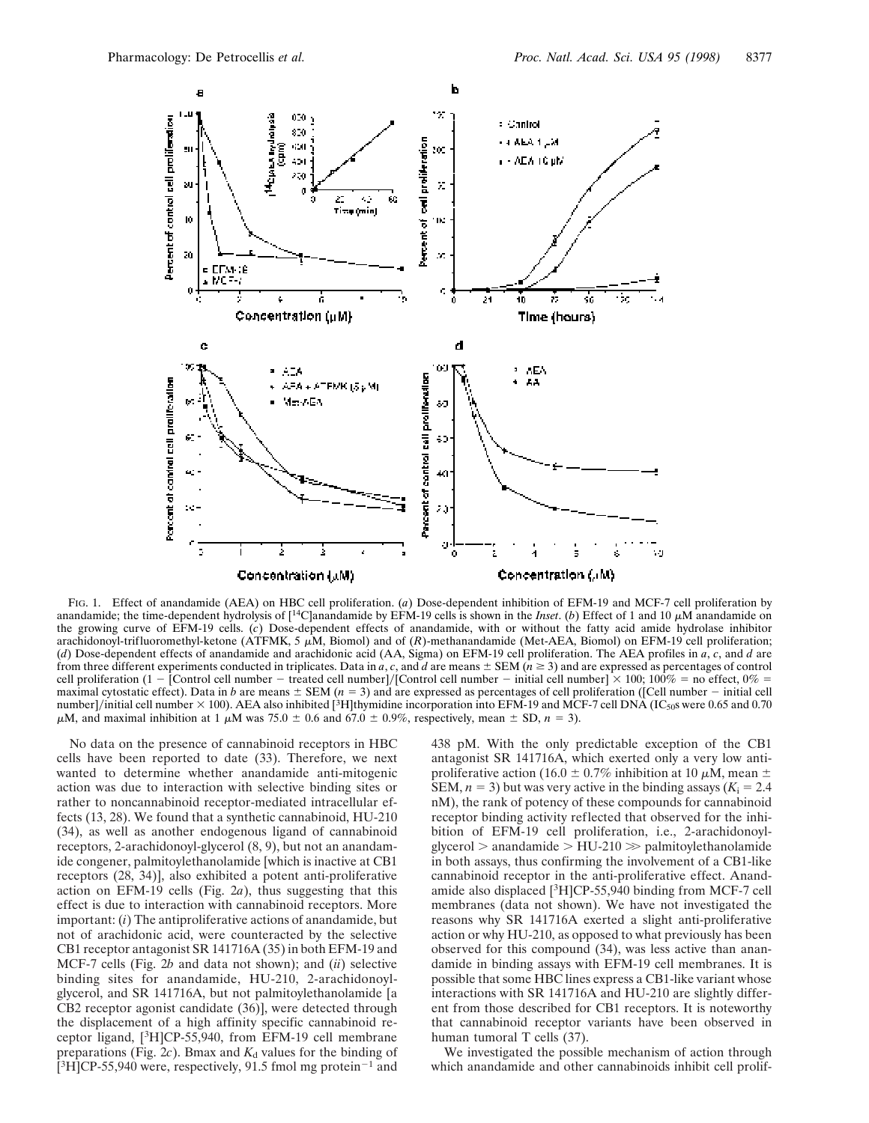

FIG. 1. Effect of anandamide (AEA) on HBC cell proliferation. (*a*) Dose-dependent inhibition of EFM-19 and MCF-7 cell proliferation by anandamide; the time-dependent hydrolysis of  $[$ <sup>14</sup>C]anandamide by EFM-19 cells is shown in the *Inset*. (*b*) Effect of 1 and 10  $\mu$ M anandamide on the growing curve of EFM-19 cells. (*c*) Dose-dependent effects of anandamide, with or without the fatty acid amide hydrolase inhibitor arachidonoyl-trifluoromethyl-ketone (ATFMK, 5  $\mu$ M, Biomol) and of (*R*)-methanandamide (Met-AEA, Biomol) on EFM-19 cell proliferation; (*d*) Dose-dependent effects of anandamide and arachidonic acid (AA, Sigma) on EFM-19 cell proliferation. The AEA profiles in *a*, *c*, and *d* are from three different experiments conducted in triplicates. Data in *a*, *c*, and *d* are means  $\pm$  SEM ( $n \ge 3$ ) and are expressed as percentages of control cell proliferation (1 - [Control cell number - treated cell number]/[Control cell number - initial cell number]  $\times$  100; 100% = no effect, 0% = maximal cytostatic effect). Data in *b* are means  $\pm$  SEM (*n* = 3) and are expressed as percentages of cell proliferation ([Cell number – initial cell number]/initial cell number  $\times$  100). AEA also inhibited [<sup>3</sup>H]thymidine incorporation into EFM-19 and MCF-7 cell DNA (IC<sub>50</sub>s were 0.65 and 0.70  $\mu$ M, and maximal inhibition at 1  $\mu$ M was 75.0  $\pm$  0.6 and 67.0  $\pm$  0.9%, respectively, mean  $\pm$  SD,  $n = 3$ ).

No data on the presence of cannabinoid receptors in HBC cells have been reported to date (33). Therefore, we next wanted to determine whether anandamide anti-mitogenic action was due to interaction with selective binding sites or rather to noncannabinoid receptor-mediated intracellular effects (13, 28). We found that a synthetic cannabinoid, HU-210 (34), as well as another endogenous ligand of cannabinoid receptors, 2-arachidonoyl-glycerol (8, 9), but not an anandamide congener, palmitoylethanolamide [which is inactive at CB1 receptors (28, 34)], also exhibited a potent anti-proliferative action on EFM-19 cells (Fig. 2*a*), thus suggesting that this effect is due to interaction with cannabinoid receptors. More important: (*i*) The antiproliferative actions of anandamide, but not of arachidonic acid, were counteracted by the selective CB1 receptor antagonist SR 141716A (35) in both EFM-19 and MCF-7 cells (Fig. 2*b* and data not shown); and (*ii*) selective binding sites for anandamide, HU-210, 2-arachidonoylglycerol, and SR 141716A, but not palmitoylethanolamide [a CB2 receptor agonist candidate (36)], were detected through the displacement of a high affinity specific cannabinoid receptor ligand, [3H]CP-55,940, from EFM-19 cell membrane preparations (Fig.  $2c$ ). Bmax and  $K_d$  values for the binding of  $[3H]$ CP-55,940 were, respectively, 91.5 fmol mg protein<sup>-1</sup> and

438 pM. With the only predictable exception of the CB1 antagonist SR 141716A, which exerted only a very low antiproliferative action (16.0  $\pm$  0.7% inhibition at 10  $\mu$ M, mean  $\pm$ SEM,  $n = 3$ ) but was very active in the binding assays ( $K_i = 2.4$ ) nM), the rank of potency of these compounds for cannabinoid receptor binding activity reflected that observed for the inhibition of EFM-19 cell proliferation, i.e., 2-arachidonoylglycerol  $>$  anandamide  $>$  HU-210  $>$  palmitoylethanolamide in both assays, thus confirming the involvement of a CB1-like cannabinoid receptor in the anti-proliferative effect. Anandamide also displaced [3H]CP-55,940 binding from MCF-7 cell membranes (data not shown). We have not investigated the reasons why SR 141716A exerted a slight anti-proliferative action or why HU-210, as opposed to what previously has been observed for this compound (34), was less active than anandamide in binding assays with EFM-19 cell membranes. It is possible that some HBC lines express a CB1-like variant whose interactions with SR 141716A and HU-210 are slightly different from those described for CB1 receptors. It is noteworthy that cannabinoid receptor variants have been observed in human tumoral T cells (37).

We investigated the possible mechanism of action through which anandamide and other cannabinoids inhibit cell prolif-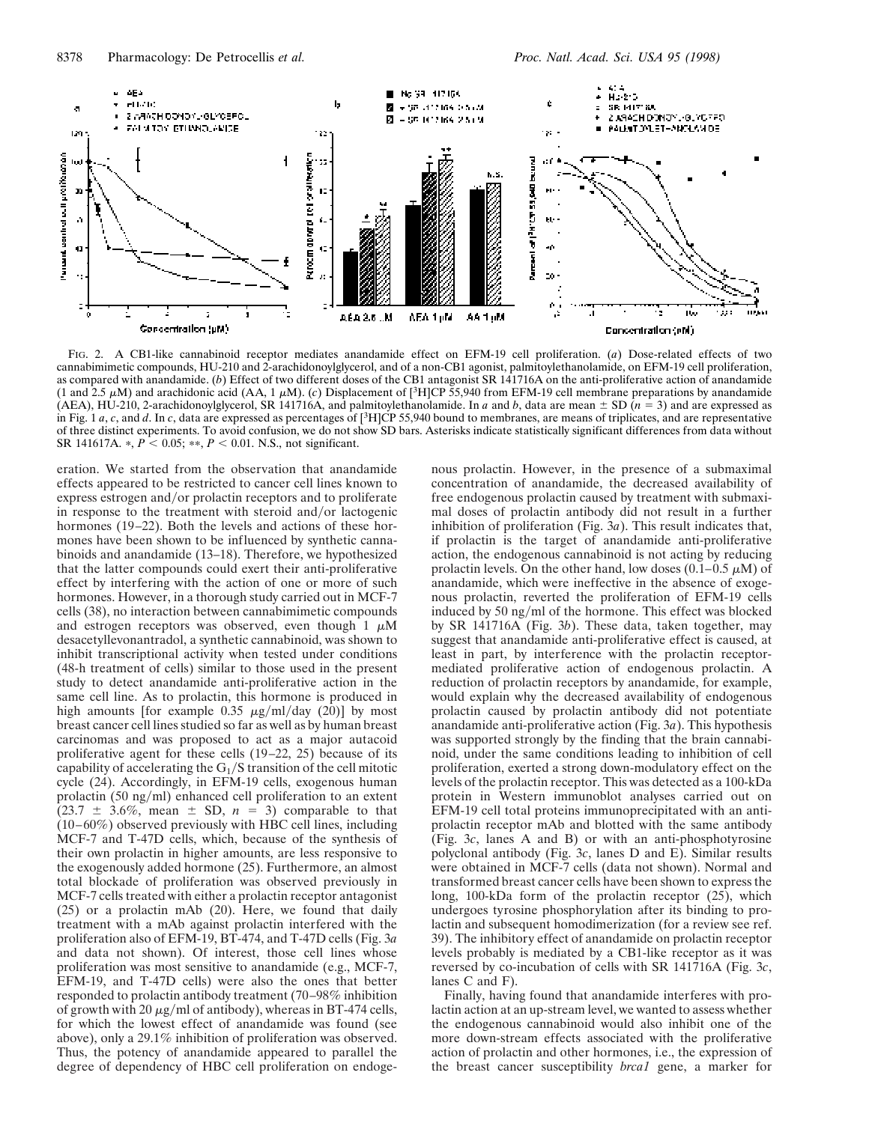

FIG. 2. A CB1-like cannabinoid receptor mediates anandamide effect on EFM-19 cell proliferation. (*a*) Dose-related effects of two cannabimimetic compounds, HU-210 and 2-arachidonoylglycerol, and of a non-CB1 agonist, palmitoylethanolamide, on EFM-19 cell proliferation, as compared with anandamide. (*b*) Effect of two different doses of the CB1 antagonist SR 141716A on the anti-proliferative action of anandamide (1 and 2.5  $\mu$ M) and arachidonic acid (AA, 1  $\mu$ M). (*c*) Displacement of [<sup>3</sup>H]CP 55,940 from EFM-19 cell membrane preparations by anandamide (AEA), HU-210, 2-arachidonoylglycerol, SR 141716A, and palmitoylethanolamide. In *a* and *b*, data are mean  $\pm$  SD ( $n = 3$ ) and are expressed as in Fig. 1 *a*, *c*, and *d*. In *c*, data are expressed as percentages of [3H]CP 55,940 bound to membranes, are means of triplicates, and are representative of three distinct experiments. To avoid confusion, we do not show SD bars. Asterisks indicate statistically significant differences from data without SR 141617A.  $\ast$ ,  $P < 0.05$ ;  $\ast \ast$ ,  $P < 0.01$ . N.S., not significant.

eration. We started from the observation that anandamide effects appeared to be restricted to cancer cell lines known to express estrogen and/or prolactin receptors and to proliferate in response to the treatment with steroid and/or lactogenic hormones (19–22). Both the levels and actions of these hormones have been shown to be influenced by synthetic cannabinoids and anandamide (13–18). Therefore, we hypothesized that the latter compounds could exert their anti-proliferative effect by interfering with the action of one or more of such hormones. However, in a thorough study carried out in MCF-7 cells (38), no interaction between cannabimimetic compounds and estrogen receptors was observed, even though  $1 \mu M$ desacetyllevonantradol, a synthetic cannabinoid, was shown to inhibit transcriptional activity when tested under conditions (48-h treatment of cells) similar to those used in the present study to detect anandamide anti-proliferative action in the same cell line. As to prolactin, this hormone is produced in high amounts [for example 0.35  $\mu$ g/ml/day (20)] by most breast cancer cell lines studied so far as well as by human breast carcinomas and was proposed to act as a major autacoid proliferative agent for these cells (19–22, 25) because of its capability of accelerating the  $G_1/S$  transition of the cell mitotic cycle (24). Accordingly, in EFM-19 cells, exogenous human prolactin  $(50 \text{ ng/ml})$  enhanced cell proliferation to an extent  $(23.7 \pm 3.6\%, \text{ mean } \pm \text{ SD}, n = 3)$  comparable to that (10–60%) observed previously with HBC cell lines, including MCF-7 and T-47D cells, which, because of the synthesis of their own prolactin in higher amounts, are less responsive to the exogenously added hormone (25). Furthermore, an almost total blockade of proliferation was observed previously in MCF-7 cells treated with either a prolactin receptor antagonist (25) or a prolactin mAb (20). Here, we found that daily treatment with a mAb against prolactin interfered with the proliferation also of EFM-19, BT-474, and T-47D cells (Fig. 3*a* and data not shown). Of interest, those cell lines whose proliferation was most sensitive to anandamide (e.g., MCF-7, EFM-19, and T-47D cells) were also the ones that better responded to prolactin antibody treatment (70–98% inhibition of growth with 20  $\mu$ g/ml of antibody), whereas in BT-474 cells, for which the lowest effect of anandamide was found (see above), only a 29.1% inhibition of proliferation was observed. Thus, the potency of anandamide appeared to parallel the degree of dependency of HBC cell proliferation on endogenous prolactin. However, in the presence of a submaximal concentration of anandamide, the decreased availability of free endogenous prolactin caused by treatment with submaximal doses of prolactin antibody did not result in a further inhibition of proliferation (Fig. 3*a*). This result indicates that, if prolactin is the target of anandamide anti-proliferative action, the endogenous cannabinoid is not acting by reducing prolactin levels. On the other hand, low doses  $(0.1-0.5 \mu M)$  of anandamide, which were ineffective in the absence of exogenous prolactin, reverted the proliferation of EFM-19 cells induced by 50 ng/ml of the hormone. This effect was blocked by SR 141716A (Fig. 3*b*). These data, taken together, may suggest that anandamide anti-proliferative effect is caused, at least in part, by interference with the prolactin receptormediated proliferative action of endogenous prolactin. A reduction of prolactin receptors by anandamide, for example, would explain why the decreased availability of endogenous prolactin caused by prolactin antibody did not potentiate anandamide anti-proliferative action (Fig. 3*a*). This hypothesis was supported strongly by the finding that the brain cannabinoid, under the same conditions leading to inhibition of cell proliferation, exerted a strong down-modulatory effect on the levels of the prolactin receptor. This was detected as a 100-kDa protein in Western immunoblot analyses carried out on EFM-19 cell total proteins immunoprecipitated with an antiprolactin receptor mAb and blotted with the same antibody (Fig. 3*c*, lanes A and B) or with an anti-phosphotyrosine polyclonal antibody (Fig. 3*c*, lanes D and E). Similar results were obtained in MCF-7 cells (data not shown). Normal and transformed breast cancer cells have been shown to express the long, 100-kDa form of the prolactin receptor (25), which undergoes tyrosine phosphorylation after its binding to prolactin and subsequent homodimerization (for a review see ref. 39). The inhibitory effect of anandamide on prolactin receptor levels probably is mediated by a CB1-like receptor as it was reversed by co-incubation of cells with SR 141716A (Fig. 3*c*, lanes C and F).

Finally, having found that anandamide interferes with prolactin action at an up-stream level, we wanted to assess whether the endogenous cannabinoid would also inhibit one of the more down-stream effects associated with the proliferative action of prolactin and other hormones, i.e., the expression of the breast cancer susceptibility *brca1* gene, a marker for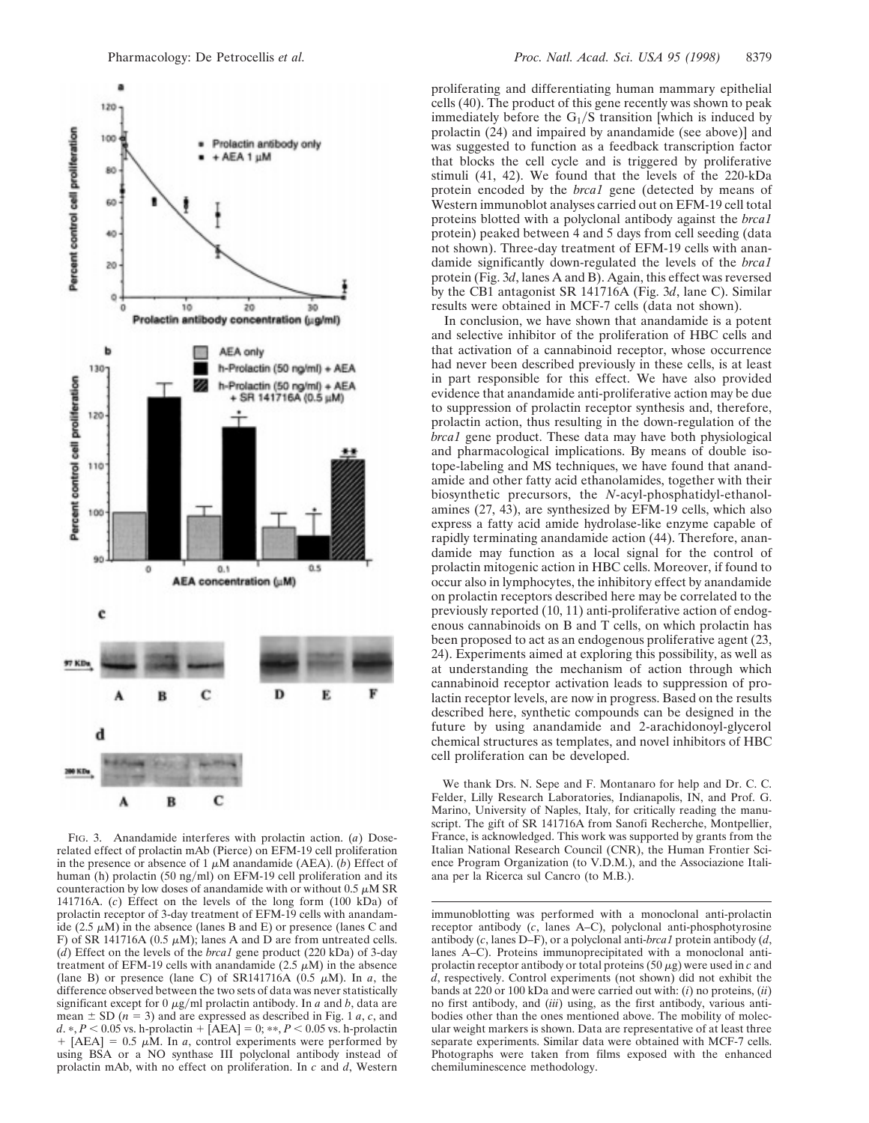

FIG. 3. Anandamide interferes with prolactin action. (*a*) Doserelated effect of prolactin mAb (Pierce) on EFM-19 cell proliferation in the presence or absence of 1  $\mu$ M anandamide (AEA). (*b*) Effect of human (h) prolactin (50 ng/ml) on EFM-19 cell proliferation and its counteraction by low doses of anandamide with or without  $0.5 \mu M$  SR 141716A. (*c*) Effect on the levels of the long form (100 kDa) of prolactin receptor of 3-day treatment of EFM-19 cells with anandamide (2.5  $\mu$ M) in the absence (lanes B and E) or presence (lanes C and F) of SR 141716A (0.5  $\mu$ M); lanes A and D are from untreated cells. (*d*) Effect on the levels of the *brca1* gene product (220 kDa) of 3-day treatment of EFM-19 cells with anandamide (2.5  $\mu$ M) in the absence (lane B) or presence (lane C) of SR141716A  $(0.5 \mu M)$ . In *a*, the difference observed between the two sets of data was never statistically significant except for  $0 \mu g/ml$  prolactin antibody. In *a* and *b*, data are mean  $\pm$  SD ( $n = 3$ ) and are expressed as described in Fig. 1 *a*, *c*, and *d.* \*,  $P < 0.05$  vs. h-prolactin +  $[AEA] = 0$ ; \*\*,  $P < 0.05$  vs. h-prolactin  $+$  [AEA] = 0.5  $\mu$ M. In *a*, control experiments were performed by using BSA or a NO synthase III polyclonal antibody instead of prolactin mAb, with no effect on proliferation. In *c* and *d*, Western

proliferating and differentiating human mammary epithelial cells (40). The product of this gene recently was shown to peak immediately before the  $G_1/S$  transition [which is induced by prolactin (24) and impaired by anandamide (see above)] and was suggested to function as a feedback transcription factor that blocks the cell cycle and is triggered by proliferative stimuli (41, 42). We found that the levels of the 220-kDa protein encoded by the *brca1* gene (detected by means of Western immunoblot analyses carried out on EFM-19 cell total proteins blotted with a polyclonal antibody against the *brca1* protein) peaked between 4 and 5 days from cell seeding (data not shown). Three-day treatment of EFM-19 cells with anandamide significantly down-regulated the levels of the *brca1* protein (Fig. 3*d*, lanes A and B). Again, this effect was reversed by the CB1 antagonist SR 141716A (Fig. 3*d*, lane C). Similar results were obtained in MCF-7 cells (data not shown).

In conclusion, we have shown that anandamide is a potent and selective inhibitor of the proliferation of HBC cells and that activation of a cannabinoid receptor, whose occurrence had never been described previously in these cells, is at least in part responsible for this effect. We have also provided evidence that anandamide anti-proliferative action may be due to suppression of prolactin receptor synthesis and, therefore, prolactin action, thus resulting in the down-regulation of the *brca1* gene product. These data may have both physiological and pharmacological implications. By means of double isotope-labeling and MS techniques, we have found that anandamide and other fatty acid ethanolamides, together with their biosynthetic precursors, the *N*-acyl-phosphatidyl-ethanolamines (27, 43), are synthesized by EFM-19 cells, which also express a fatty acid amide hydrolase-like enzyme capable of rapidly terminating anandamide action (44). Therefore, anandamide may function as a local signal for the control of prolactin mitogenic action in HBC cells. Moreover, if found to occur also in lymphocytes, the inhibitory effect by anandamide on prolactin receptors described here may be correlated to the previously reported (10, 11) anti-proliferative action of endogenous cannabinoids on B and T cells, on which prolactin has been proposed to act as an endogenous proliferative agent (23, 24). Experiments aimed at exploring this possibility, as well as at understanding the mechanism of action through which cannabinoid receptor activation leads to suppression of prolactin receptor levels, are now in progress. Based on the results described here, synthetic compounds can be designed in the future by using anandamide and 2-arachidonoyl-glycerol chemical structures as templates, and novel inhibitors of HBC cell proliferation can be developed.

We thank Drs. N. Sepe and F. Montanaro for help and Dr. C. C. Felder, Lilly Research Laboratories, Indianapolis, IN, and Prof. G. Marino, University of Naples, Italy, for critically reading the manuscript. The gift of SR 141716A from Sanofi Recherche, Montpellier, France, is acknowledged. This work was supported by grants from the Italian National Research Council (CNR), the Human Frontier Science Program Organization (to V.D.M.), and the Associazione Italiana per la Ricerca sul Cancro (to M.B.).

immunoblotting was performed with a monoclonal anti-prolactin receptor antibody (*c*, lanes A–C), polyclonal anti-phosphotyrosine antibody (*c*, lanes D–F), or a polyclonal anti-*brca1* protein antibody (*d*, lanes A–C). Proteins immunoprecipitated with a monoclonal antiprolactin receptor antibody or total proteins  $(50 \mu g)$  were used in *c* and *d*, respectively. Control experiments (not shown) did not exhibit the bands at 220 or 100 kDa and were carried out with: (*i*) no proteins, (*ii*) no first antibody, and (*iii*) using, as the first antibody, various antibodies other than the ones mentioned above. The mobility of molecular weight markers is shown. Data are representative of at least three separate experiments. Similar data were obtained with MCF-7 cells. Photographs were taken from films exposed with the enhanced chemiluminescence methodology.